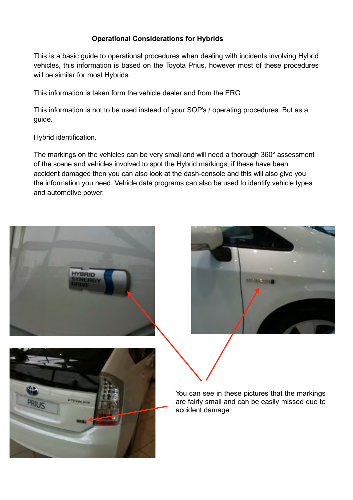## **Operational Considerations for Hybrids**

This is a basic guide to operational procedures when dealing with incidents involving Hybrid vehicles, this information is based on the Toyota Prius, however most of these procedures will be similar for most Hybrids.

This information is taken form the vehicle dealer and from the ERG

This information is not to be used instead of your SOP's / operating procedures. But as a guide.

Hybrid identification.

The markings on the vehicles can be very small and will need a thorough 360° assessment of the scene and vehicles involved to spot the Hybrid markings, if these have been accident damaged then you can also look at the dash-console and this will also give you the information you need. Vehicle data programs can also be used to identify vehicle types and automotive power.







You can see in these pictures that the markings are fairly small and can be easily missed due to accident damage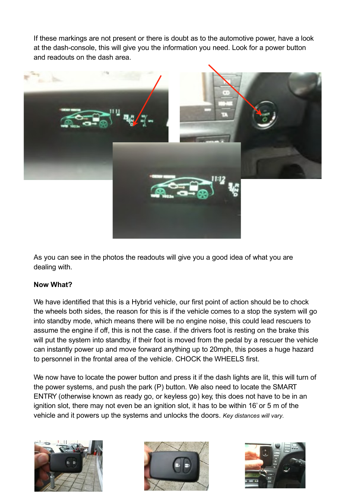If these markings are not present or there is doubt as to the automotive power, have a look at the dash-console, this will give you the information you need. Look for a power button and readouts on the dash area.



As you can see in the photos the readouts will give you a good idea of what you are dealing with.

## **Now What?**

We have identified that this is a Hybrid vehicle, our first point of action should be to chock the wheels both sides, the reason for this is if the vehicle comes to a stop the system will go into standby mode, which means there will be no engine noise, this could lead rescuers to assume the engine if off, this is not the case. if the drivers foot is resting on the brake this will put the system into standby, if their foot is moved from the pedal by a rescuer the vehicle can instantly power up and move forward anything up to 20mph, this poses a huge hazard to personnel in the frontal area of the vehicle. CHOCK the WHEELS first.

We now have to locate the power button and press it if the dash lights are lit, this will turn of the power systems, and push the park (P) button. We also need to locate the SMART ENTRY (otherwise known as ready go, or keyless go) key, this does not have to be in an ignition slot, there may not even be an ignition slot, it has to be within 16' or 5 m of the vehicle and it powers up the systems and unlocks the doors. *Key distances will vary.*





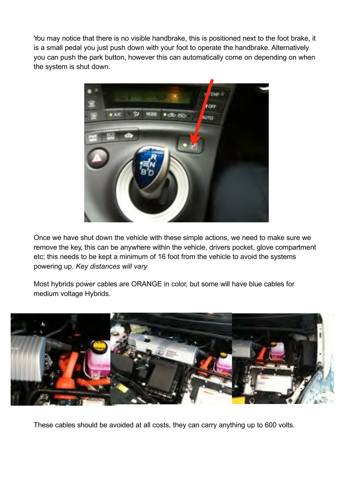You may notice that there is no visible handbrake, this is positioned next to the foot brake, it is a small pedal you just push down with your foot to operate the handbrake. Alternatively you can push the park button, however this can automatically come on depending on when the system is shut down.



Once we have shut down the vehicle with these simple actions, we need to make sure we remove the key, this can be anywhere within the vehicle, drivers pocket, glove compartment etc; this needs to be kept a minimum of 16 foot from the vehicle to avoid the systems powering up. *Key distances will vary*

Most hybrids power cables are ORANGE in color, but some will have blue cables for medium voltage Hybrids.



These cables should be avoided at all costs, they can carry anything up to 600 volts.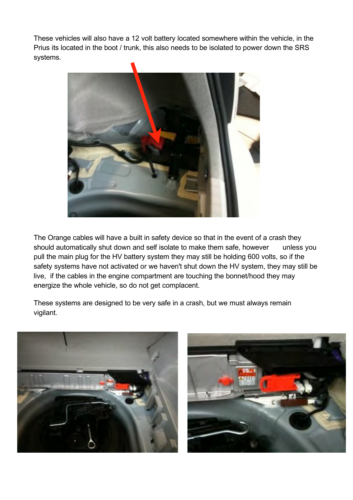These vehicles will also have a 12 volt battery located somewhere within the vehicle, in the Prius its located in the boot / trunk, this also needs to be isolated to power down the SRS systems.



The Orange cables will have a built in safety device so that in the event of a crash they should automatically shut down and self isolate to make them safe, however unless you pull the main plug for the HV battery system they may still be holding 600 volts, so if the safety systems have not activated or we haven't shut down the HV system, they may still be live, if the cables in the engine compartment are touching the bonnet/hood they may energize the whole vehicle, so do not get complacent.

These systems are designed to be very safe in a crash, but we must always remain vigilant.